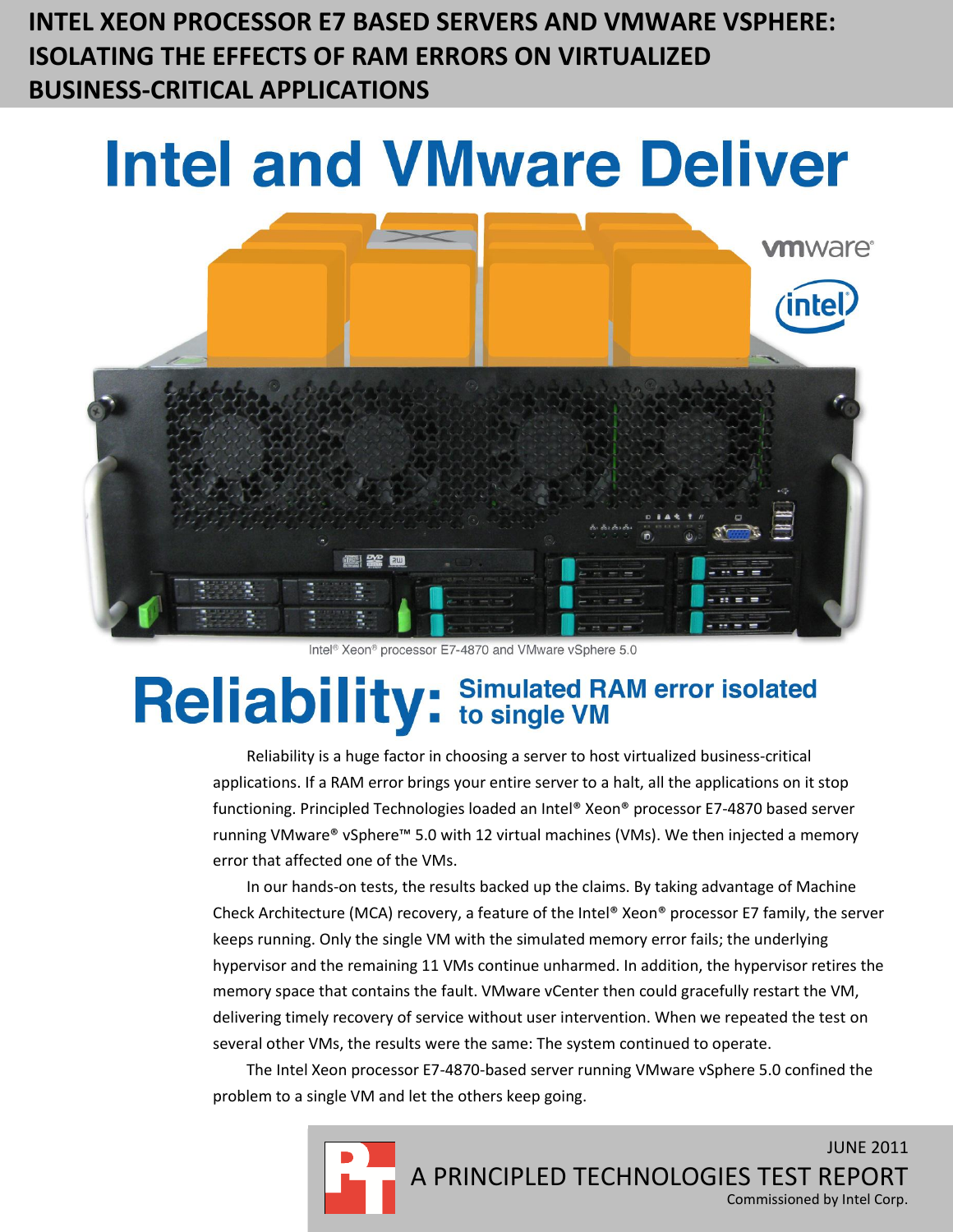**INTEL XEON PROCESSOR E7 BASED SERVERS AND VMWARE VSPHERE: ISOLATING THE EFFECTS OF RAM ERRORS ON VIRTUALIZED BUSINESS-CRITICAL APPLICATIONS**

# **Intel and VMware Deliver**



Intel<sup>®</sup> Xeon<sup>®</sup> processor E7-4870 and VMware vSphere 5.0

## Reliability: Simulated RAM error isolated

Reliability is a huge factor in choosing a server to host virtualized business-critical applications. If a RAM error brings your entire server to a halt, all the applications on it stop functioning. Principled Technologies loaded an Intel® Xeon® processor E7-4870 based server running VMware® vSphere™ 5.0 with 12 virtual machines (VMs). We then injected a memory error that affected one of the VMs.

In our hands-on tests, the results backed up the claims. By taking advantage of Machine Check Architecture (MCA) recovery, a feature of the Intel® Xeon® processor E7 family, the server keeps running. Only the single VM with the simulated memory error fails; the underlying hypervisor and the remaining 11 VMs continue unharmed. In addition, the hypervisor retires the memory space that contains the fault. VMware vCenter then could gracefully restart the VM, delivering timely recovery of service without user intervention. When we repeated the test on several other VMs, the results were the same: The system continued to operate.

The Intel Xeon processor E7-4870-based server running VMware vSphere 5.0 confined the problem to a single VM and let the others keep going.

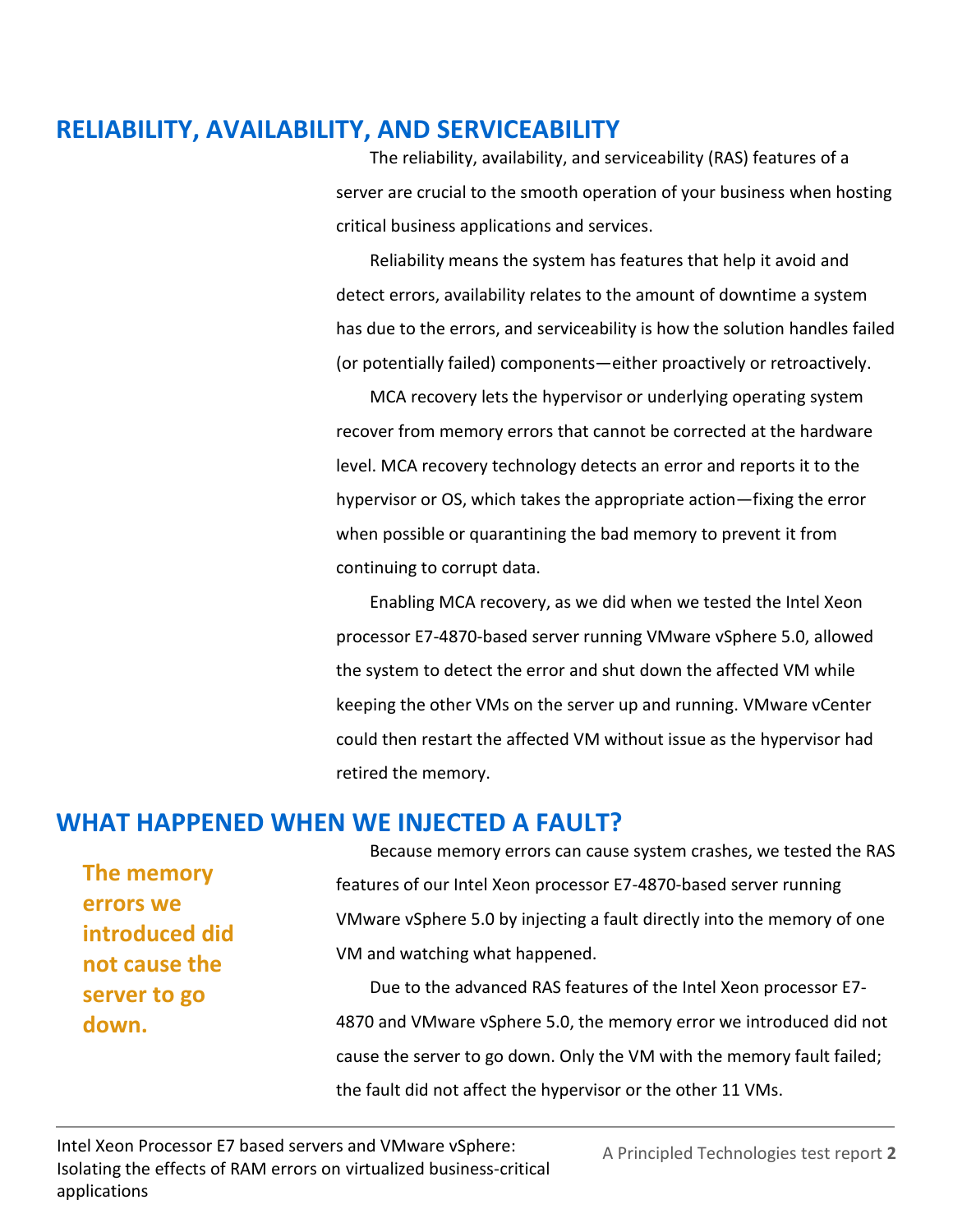## **RELIABILITY, AVAILABILITY, AND SERVICEABILITY**

The reliability, availability, and serviceability (RAS) features of a server are crucial to the smooth operation of your business when hosting critical business applications and services.

Reliability means the system has features that help it avoid and detect errors, availability relates to the amount of downtime a system has due to the errors, and serviceability is how the solution handles failed (or potentially failed) components—either proactively or retroactively.

MCA recovery lets the hypervisor or underlying operating system recover from memory errors that cannot be corrected at the hardware level. MCA recovery technology detects an error and reports it to the hypervisor or OS, which takes the appropriate action—fixing the error when possible or quarantining the bad memory to prevent it from continuing to corrupt data.

Enabling MCA recovery, as we did when we tested the Intel Xeon processor E7-4870-based server running VMware vSphere 5.0, allowed the system to detect the error and shut down the affected VM while keeping the other VMs on the server up and running. VMware vCenter could then restart the affected VM without issue as the hypervisor had retired the memory.

### **WHAT HAPPENED WHEN WE INJECTED A FAULT?**

**The memory errors we introduced did not cause the server to go down.**

Because memory errors can cause system crashes, we tested the RAS features of our Intel Xeon processor E7-4870-based server running VMware vSphere 5.0 by injecting a fault directly into the memory of one VM and watching what happened.

Due to the advanced RAS features of the Intel Xeon processor E7- 4870 and VMware vSphere 5.0, the memory error we introduced did not cause the server to go down. Only the VM with the memory fault failed; the fault did not affect the hypervisor or the other 11 VMs.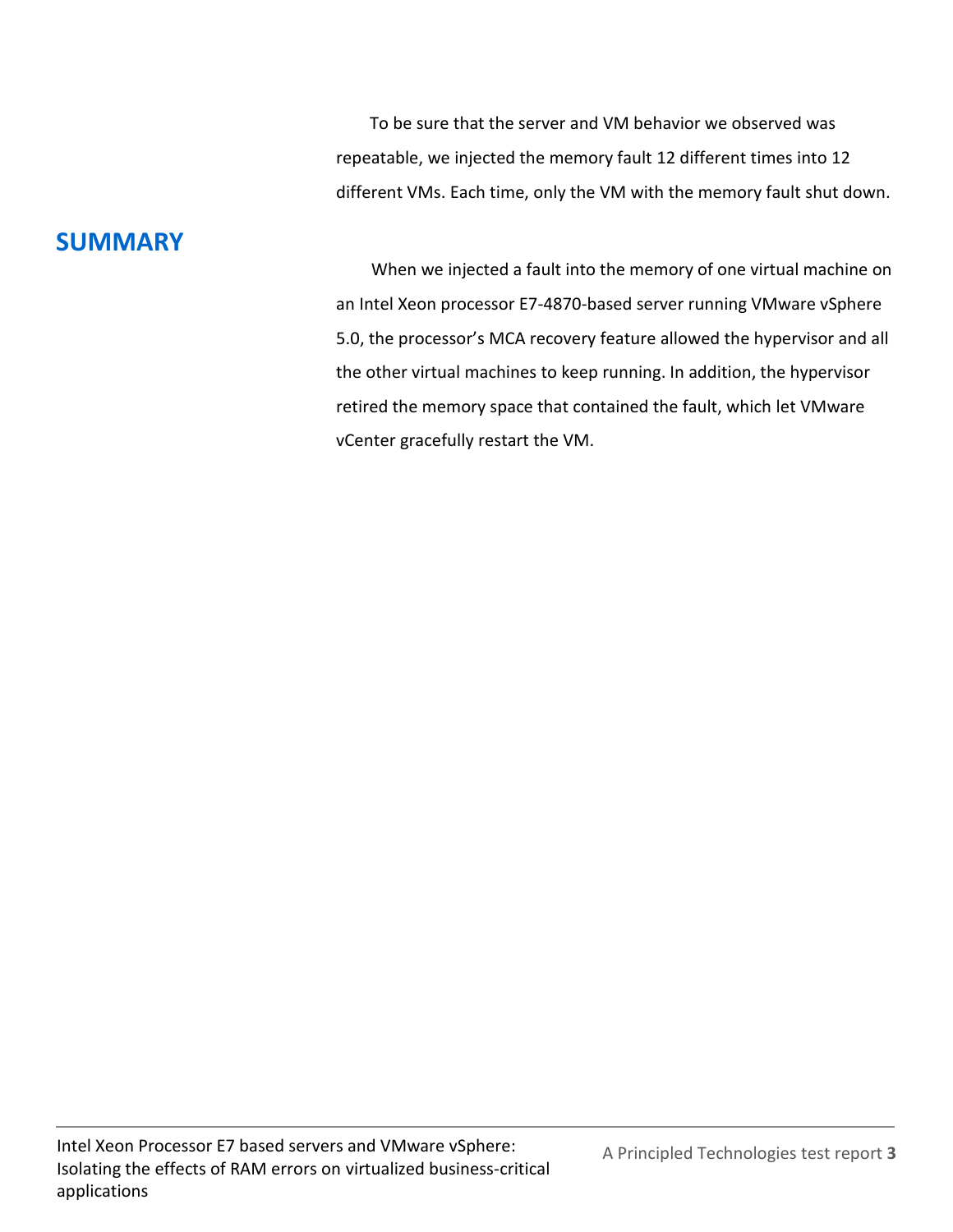To be sure that the server and VM behavior we observed was repeatable, we injected the memory fault 12 different times into 12 different VMs. Each time, only the VM with the memory fault shut down.

## **SUMMARY**

When we injected a fault into the memory of one virtual machine on an Intel Xeon processor E7-4870-based server running VMware vSphere 5.0, the processor's MCA recovery feature allowed the hypervisor and all the other virtual machines to keep running. In addition, the hypervisor retired the memory space that contained the fault, which let VMware vCenter gracefully restart the VM.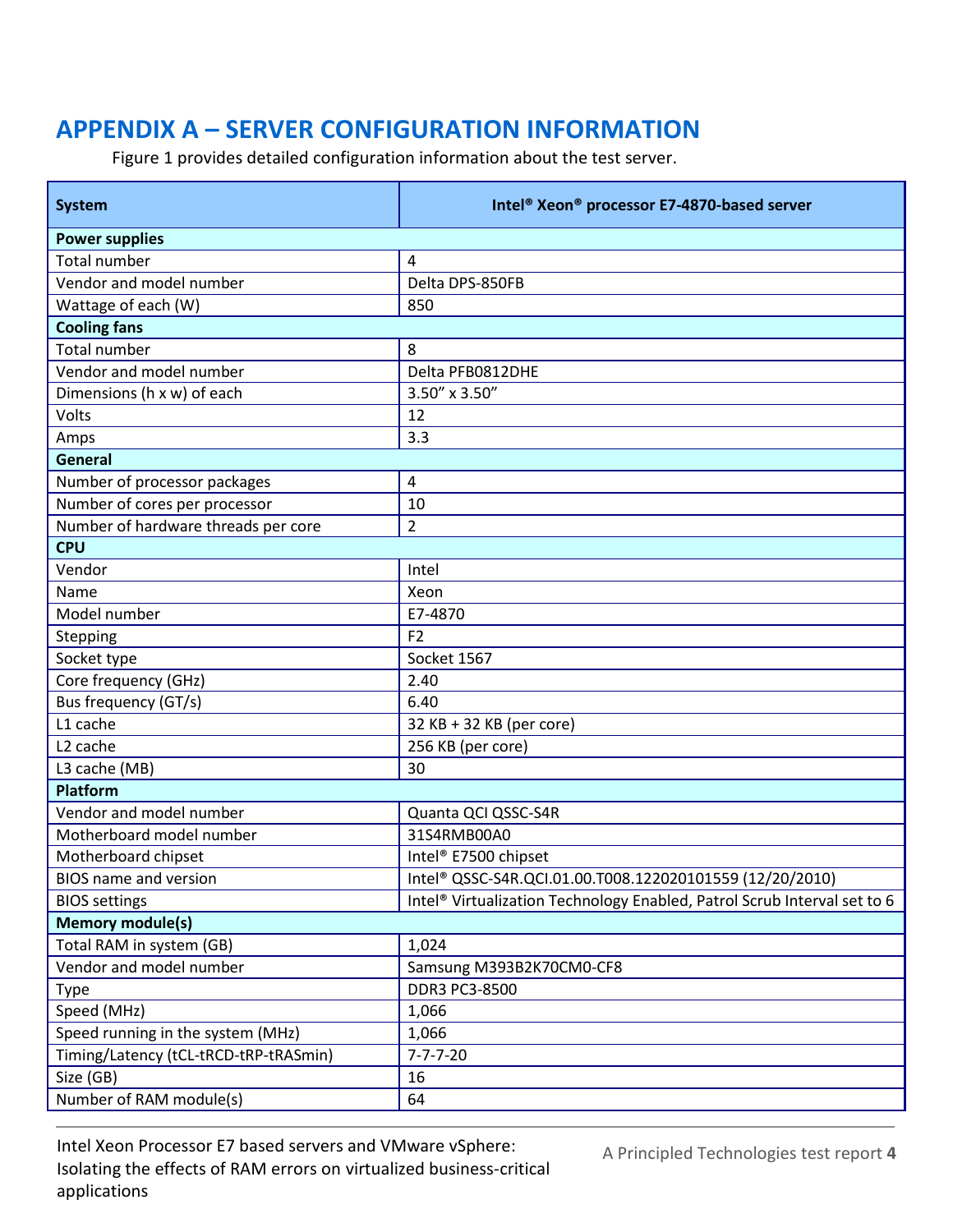## **APPENDIX A – SERVER CONFIGURATION INFORMATION**

Figure 1 provides detailed configuration information about the test server.

| <b>System</b>                         | Intel <sup>®</sup> Xeon <sup>®</sup> processor E7-4870-based server                  |
|---------------------------------------|--------------------------------------------------------------------------------------|
| <b>Power supplies</b>                 |                                                                                      |
| <b>Total number</b>                   | 4                                                                                    |
| Vendor and model number               | Delta DPS-850FB                                                                      |
| Wattage of each (W)                   | 850                                                                                  |
| <b>Cooling fans</b>                   |                                                                                      |
| <b>Total number</b>                   | 8                                                                                    |
| Vendor and model number               | Delta PFB0812DHE                                                                     |
| Dimensions (h x w) of each            | 3.50" x 3.50"                                                                        |
| Volts                                 | 12                                                                                   |
| Amps                                  | 3.3                                                                                  |
| General                               |                                                                                      |
| Number of processor packages          | 4                                                                                    |
| Number of cores per processor         | 10                                                                                   |
| Number of hardware threads per core   | $\overline{2}$                                                                       |
| <b>CPU</b>                            |                                                                                      |
| Vendor                                | Intel                                                                                |
| Name                                  | Xeon                                                                                 |
| Model number                          | E7-4870                                                                              |
| Stepping                              | F <sub>2</sub>                                                                       |
| Socket type                           | Socket 1567                                                                          |
| Core frequency (GHz)                  | 2.40                                                                                 |
| Bus frequency (GT/s)                  | 6.40                                                                                 |
| L1 cache                              | 32 KB + 32 KB (per core)                                                             |
| L <sub>2</sub> cache                  | 256 KB (per core)                                                                    |
| L3 cache (MB)                         | 30                                                                                   |
| <b>Platform</b>                       |                                                                                      |
| Vendor and model number               | Quanta QCI QSSC-S4R                                                                  |
| Motherboard model number              | 31S4RMB00A0                                                                          |
| Motherboard chipset                   | Intel® E7500 chipset                                                                 |
| BIOS name and version                 | Intel® QSSC-S4R.QCI.01.00.T008.122020101559 (12/20/2010)                             |
| <b>BIOS settings</b>                  | Intel <sup>®</sup> Virtualization Technology Enabled, Patrol Scrub Interval set to 6 |
| <b>Memory module(s)</b>               |                                                                                      |
| Total RAM in system (GB)              | 1,024                                                                                |
| Vendor and model number               | Samsung M393B2K70CM0-CF8                                                             |
| Type                                  | <b>DDR3 PC3-8500</b>                                                                 |
| Speed (MHz)                           | 1,066                                                                                |
| Speed running in the system (MHz)     | 1,066                                                                                |
| Timing/Latency (tCL-tRCD-tRP-tRASmin) | $7 - 7 - 7 - 20$                                                                     |
| Size (GB)                             | 16                                                                                   |
| Number of RAM module(s)               | 64                                                                                   |

Intel Xeon Processor E7 based servers and VMware vSphere: Isolating the effects of RAM errors on virtualized business-critical applications

A Principled Technologies test report **4**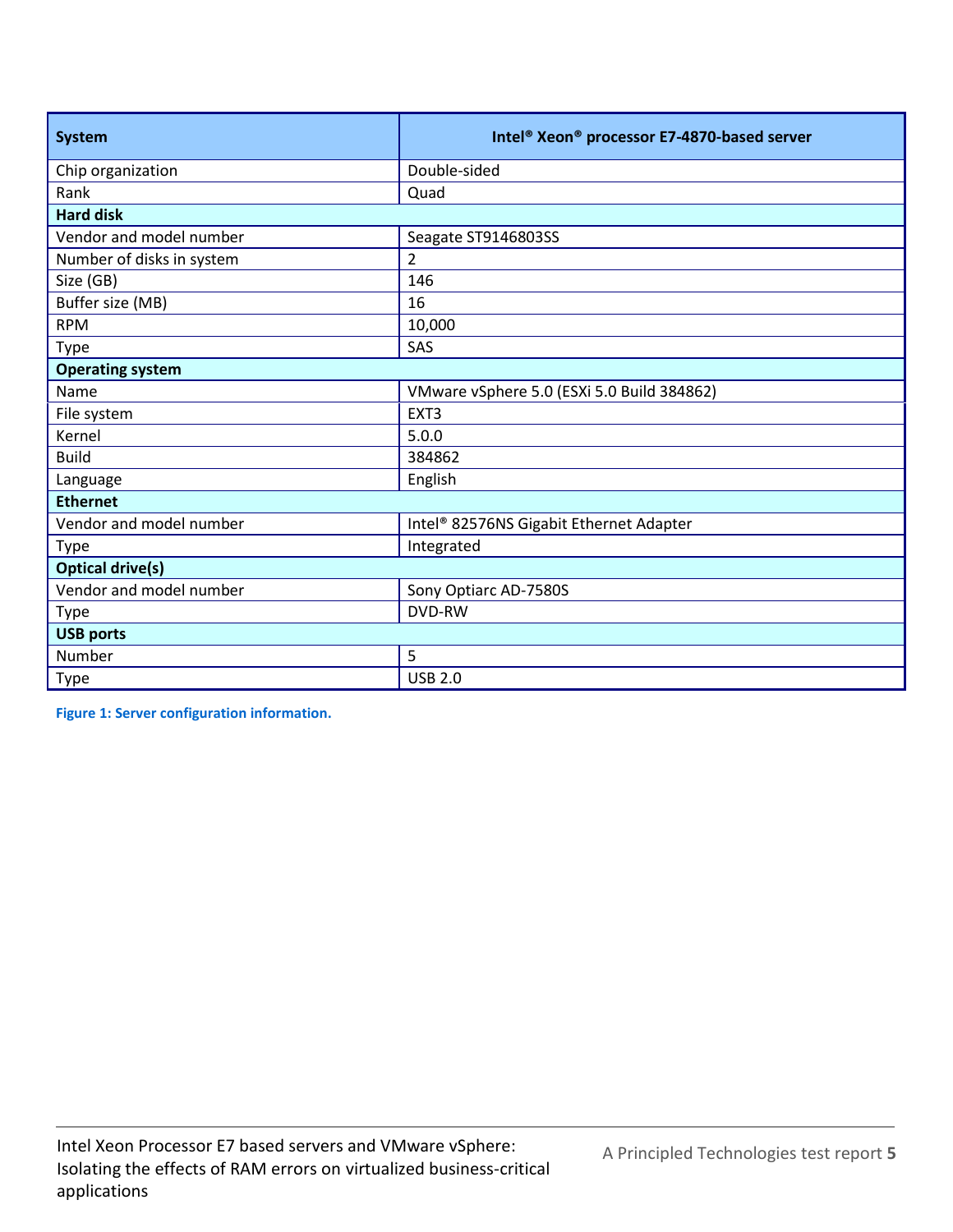| <b>System</b>             | Intel® Xeon® processor E7-4870-based server |
|---------------------------|---------------------------------------------|
| Chip organization         | Double-sided                                |
| Rank                      | Quad                                        |
| <b>Hard disk</b>          |                                             |
| Vendor and model number   | Seagate ST9146803SS                         |
| Number of disks in system | $\overline{2}$                              |
| Size (GB)                 | 146                                         |
| Buffer size (MB)          | 16                                          |
| <b>RPM</b>                | 10,000                                      |
| Type                      | SAS                                         |
| <b>Operating system</b>   |                                             |
| Name                      | VMware vSphere 5.0 (ESXi 5.0 Build 384862)  |
| File system               | EXT3                                        |
| Kernel                    | 5.0.0                                       |
| <b>Build</b>              | 384862                                      |
| Language                  | English                                     |
| <b>Ethernet</b>           |                                             |
| Vendor and model number   | Intel® 82576NS Gigabit Ethernet Adapter     |
| <b>Type</b>               | Integrated                                  |
| <b>Optical drive(s)</b>   |                                             |
| Vendor and model number   | Sony Optiarc AD-7580S                       |
| <b>Type</b>               | <b>DVD-RW</b>                               |
| <b>USB ports</b>          |                                             |
| Number                    | 5                                           |
| <b>Type</b>               | <b>USB 2.0</b>                              |

**Figure 1: Server configuration information.**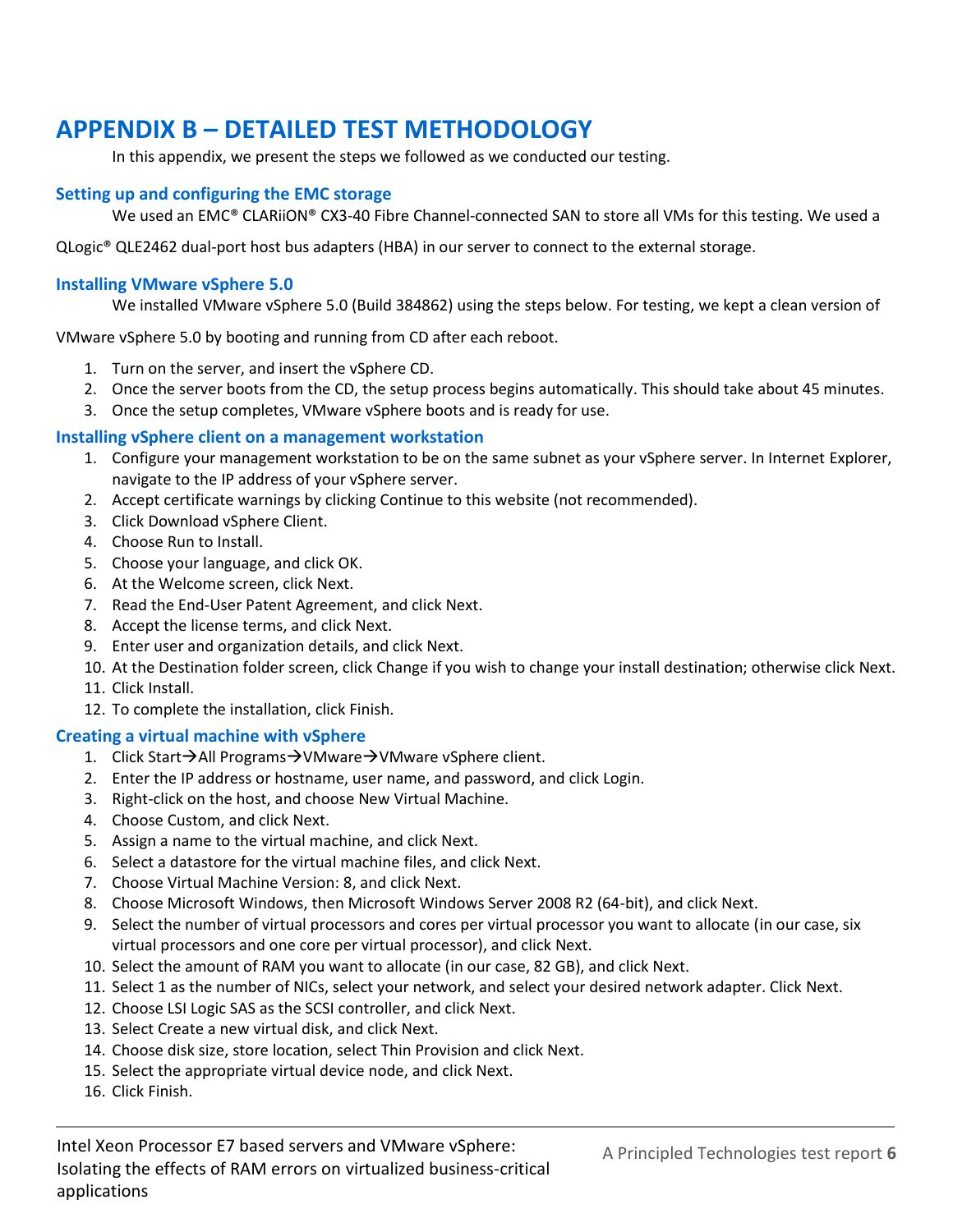## **APPENDIX B – DETAILED TEST METHODOLOGY**

In this appendix, we present the steps we followed as we conducted our testing.

#### **Setting up and configuring the EMC storage**

We used an EMC® CLARiiON® CX3-40 Fibre Channel-connected SAN to store all VMs for this testing. We used a

QLogic® QLE2462 dual-port host bus adapters (HBA) in our server to connect to the external storage.

#### **Installing VMware vSphere 5.0**

We installed VMware vSphere 5.0 (Build 384862) using the steps below. For testing, we kept a clean version of

VMware vSphere 5.0 by booting and running from CD after each reboot.

- 1. Turn on the server, and insert the vSphere CD.
- 2. Once the server boots from the CD, the setup process begins automatically. This should take about 45 minutes.
- 3. Once the setup completes, VMware vSphere boots and is ready for use.

#### **Installing vSphere client on a management workstation**

- 1. Configure your management workstation to be on the same subnet as your vSphere server. In Internet Explorer, navigate to the IP address of your vSphere server.
- 2. Accept certificate warnings by clicking Continue to this website (not recommended).
- 3. Click Download vSphere Client.
- 4. Choose Run to Install.
- 5. Choose your language, and click OK.
- 6. At the Welcome screen, click Next.
- 7. Read the End-User Patent Agreement, and click Next.
- 8. Accept the license terms, and click Next.
- 9. Enter user and organization details, and click Next.
- 10. At the Destination folder screen, click Change if you wish to change your install destination; otherwise click Next.
- 11. Click Install.
- 12. To complete the installation, click Finish.

#### **Creating a virtual machine with vSphere**

- 1. Click Start $\rightarrow$ All Programs $\rightarrow$ VMware $\rightarrow$ VMware vSphere client.
- 2. Enter the IP address or hostname, user name, and password, and click Login.
- 3. Right-click on the host, and choose New Virtual Machine.
- 4. Choose Custom, and click Next.
- 5. Assign a name to the virtual machine, and click Next.
- 6. Select a datastore for the virtual machine files, and click Next.
- 7. Choose Virtual Machine Version: 8, and click Next.
- 8. Choose Microsoft Windows, then Microsoft Windows Server 2008 R2 (64-bit), and click Next.
- 9. Select the number of virtual processors and cores per virtual processor you want to allocate (in our case, six virtual processors and one core per virtual processor), and click Next.
- 10. Select the amount of RAM you want to allocate (in our case, 82 GB), and click Next.
- 11. Select 1 as the number of NICs, select your network, and select your desired network adapter. Click Next.
- 12. Choose LSI Logic SAS as the SCSI controller, and click Next.
- 13. Select Create a new virtual disk, and click Next.
- 14. Choose disk size, store location, select Thin Provision and click Next.
- 15. Select the appropriate virtual device node, and click Next.
- 16. Click Finish.

Intel Xeon Processor E7 based servers and VMware vSphere: Isolating the effects of RAM errors on virtualized business-critical applications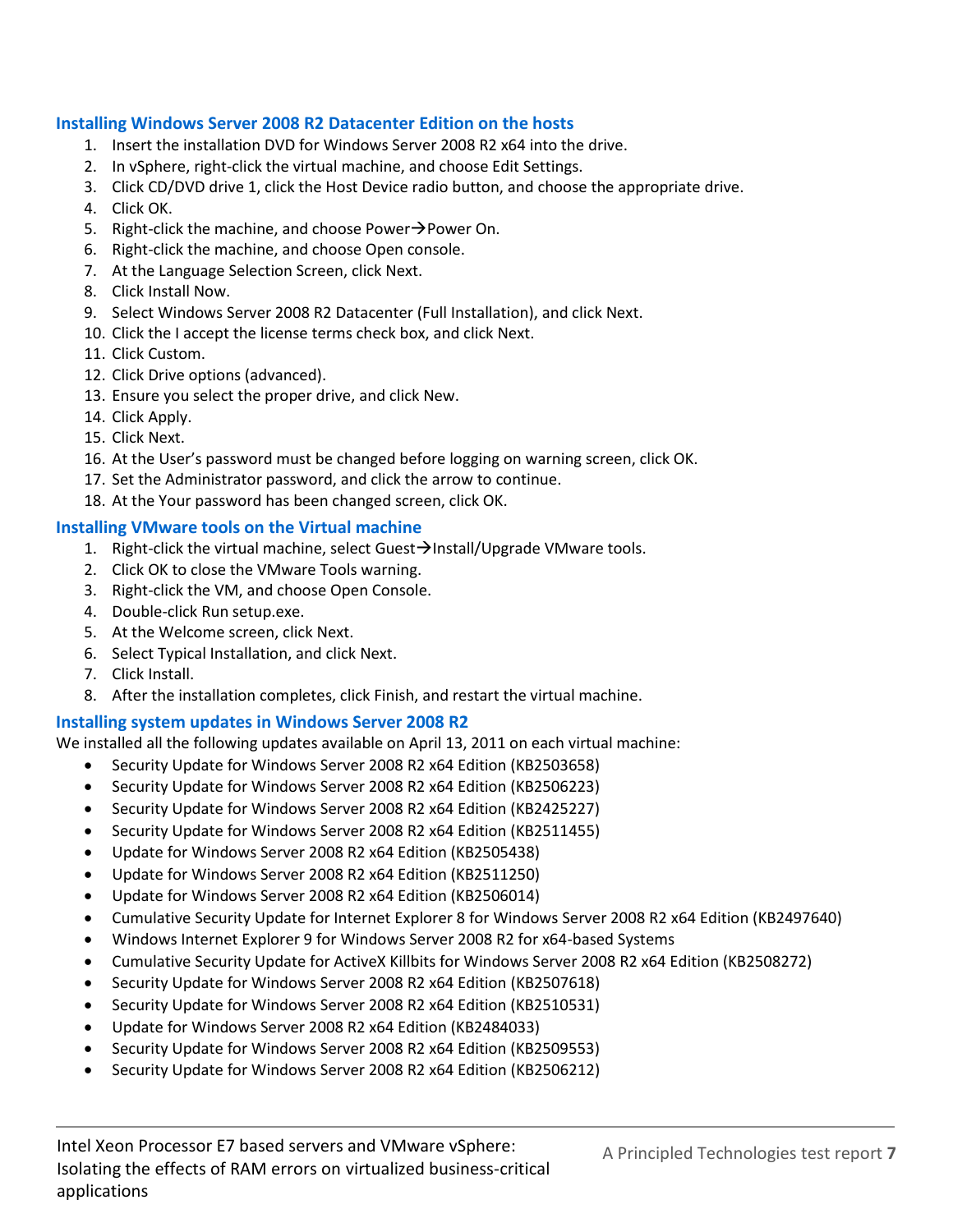#### **Installing Windows Server 2008 R2 Datacenter Edition on the hosts**

- 1. Insert the installation DVD for Windows Server 2008 R2 x64 into the drive.
- 2. In vSphere, right-click the virtual machine, and choose Edit Settings.
- 3. Click CD/DVD drive 1, click the Host Device radio button, and choose the appropriate drive.
- 4. Click OK.
- 5. Right-click the machine, and choose Power $\rightarrow$ Power On.
- 6. Right-click the machine, and choose Open console.
- 7. At the Language Selection Screen, click Next.
- 8. Click Install Now.
- 9. Select Windows Server 2008 R2 Datacenter (Full Installation), and click Next.
- 10. Click the I accept the license terms check box, and click Next.
- 11. Click Custom.
- 12. Click Drive options (advanced).
- 13. Ensure you select the proper drive, and click New.
- 14. Click Apply.
- 15. Click Next.
- 16. At the User's password must be changed before logging on warning screen, click OK.
- 17. Set the Administrator password, and click the arrow to continue.
- 18. At the Your password has been changed screen, click OK.

#### **Installing VMware tools on the Virtual machine**

- 1. Right-click the virtual machine, select Guest $\rightarrow$ Install/Upgrade VMware tools.
- 2. Click OK to close the VMware Tools warning.
- 3. Right-click the VM, and choose Open Console.
- 4. Double-click Run setup.exe.
- 5. At the Welcome screen, click Next.
- 6. Select Typical Installation, and click Next.
- 7. Click Install.
- 8. After the installation completes, click Finish, and restart the virtual machine.

#### **Installing system updates in Windows Server 2008 R2**

We installed all the following updates available on April 13, 2011 on each virtual machine:

- Security Update for Windows Server 2008 R2 x64 Edition (KB2503658)
- Security Update for Windows Server 2008 R2 x64 Edition (KB2506223)
- Security Update for Windows Server 2008 R2 x64 Edition (KB2425227)
- Security Update for Windows Server 2008 R2 x64 Edition (KB2511455)
- Update for Windows Server 2008 R2 x64 Edition (KB2505438)
- Update for Windows Server 2008 R2 x64 Edition (KB2511250)
- Update for Windows Server 2008 R2 x64 Edition (KB2506014)
- Cumulative Security Update for Internet Explorer 8 for Windows Server 2008 R2 x64 Edition (KB2497640)
- Windows Internet Explorer 9 for Windows Server 2008 R2 for x64-based Systems
- Cumulative Security Update for ActiveX Killbits for Windows Server 2008 R2 x64 Edition (KB2508272)
- Security Update for Windows Server 2008 R2 x64 Edition (KB2507618)
- Security Update for Windows Server 2008 R2 x64 Edition (KB2510531)
- Update for Windows Server 2008 R2 x64 Edition (KB2484033)
- Security Update for Windows Server 2008 R2 x64 Edition (KB2509553)
- Security Update for Windows Server 2008 R2 x64 Edition (KB2506212)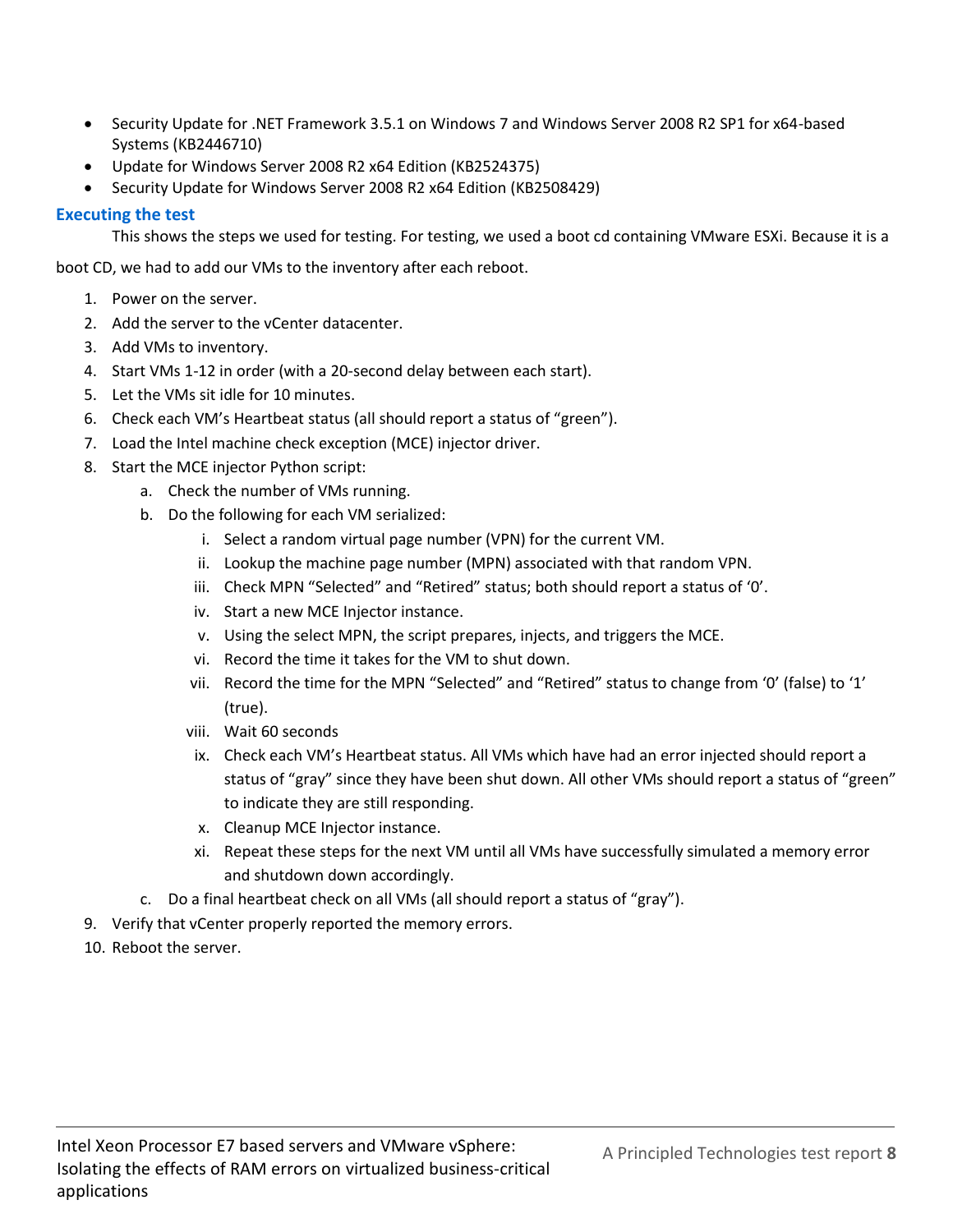- Security Update for .NET Framework 3.5.1 on Windows 7 and Windows Server 2008 R2 SP1 for x64-based Systems (KB2446710)
- Update for Windows Server 2008 R2 x64 Edition (KB2524375)
- Security Update for Windows Server 2008 R2 x64 Edition (KB2508429)

#### **Executing the test**

This shows the steps we used for testing. For testing, we used a boot cd containing VMware ESXi. Because it is a

boot CD, we had to add our VMs to the inventory after each reboot.

- 1. Power on the server.
- 2. Add the server to the vCenter datacenter.
- 3. Add VMs to inventory.
- 4. Start VMs 1-12 in order (with a 20-second delay between each start).
- 5. Let the VMs sit idle for 10 minutes.
- 6. Check each VM's Heartbeat status (all should report a status of "green").
- 7. Load the Intel machine check exception (MCE) injector driver.
- 8. Start the MCE injector Python script:
	- a. Check the number of VMs running.
	- b. Do the following for each VM serialized:
		- i. Select a random virtual page number (VPN) for the current VM.
		- ii. Lookup the machine page number (MPN) associated with that random VPN.
		- iii. Check MPN "Selected" and "Retired" status; both should report a status of '0'.
		- iv. Start a new MCE Injector instance.
		- v. Using the select MPN, the script prepares, injects, and triggers the MCE.
		- vi. Record the time it takes for the VM to shut down.
		- vii. Record the time for the MPN "Selected" and "Retired" status to change from '0' (false) to '1' (true).
		- viii. Wait 60 seconds
		- ix. Check each VM's Heartbeat status. All VMs which have had an error injected should report a status of "gray" since they have been shut down. All other VMs should report a status of "green" to indicate they are still responding.
		- x. Cleanup MCE Injector instance.
		- xi. Repeat these steps for the next VM until all VMs have successfully simulated a memory error and shutdown down accordingly.
	- c. Do a final heartbeat check on all VMs (all should report a status of "gray").
- 9. Verify that vCenter properly reported the memory errors.
- 10. Reboot the server.